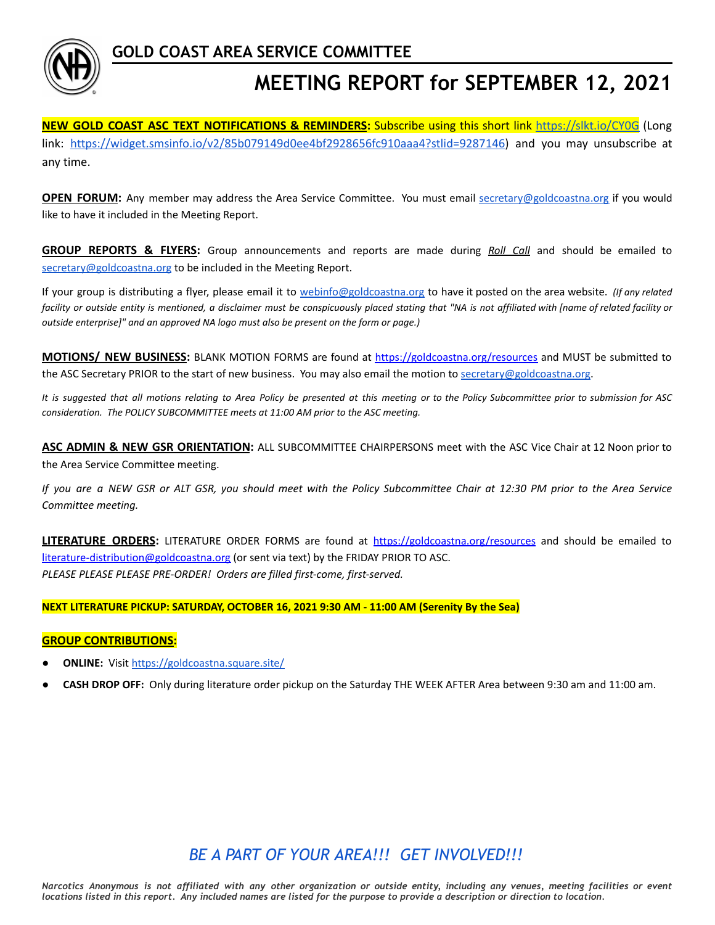

**GOLD COAST AREA SERVICE COMMITTEE**

# **MEETING REPORT for SEPTEMBER 12, 2021**

**NEW GOLD COAST ASC TEXT NOTIFICATIONS & REMINDERS:** Subscribe using this short link <https://slkt.io/CY0G> (Long link: [https://widget.smsinfo.io/v2/85b079149d0ee4bf2928656fc910aaa4?stlid=9287146\)](https://widget.smsinfo.io/v2/85b079149d0ee4bf2928656fc910aaa4?stlid=9287146) and you may unsubscribe at any time.

**OPEN FORUM:** Any member may address the Area Service Committee. You must email [secretary@goldcoastna.org](mailto:secretary@goldcoastna.org) if you would like to have it included in the Meeting Report.

**GROUP REPORTS & FLYERS:** Group announcements and reports are made during *Roll Call* and should be emailed to [secretary@goldcoastna.org](mailto:secretary@goldcoastna.org) to be included in the Meeting Report.

If your group is distributing a flyer, please email it to [webinfo@goldcoastna.org](mailto:webinfo@goldcoastna.org) to have it posted on the area website. *(If any related* facility or outside entity is mentioned, a disclaimer must be conspicuously placed stating that "NA is not affiliated with [name of related facility or *outside enterprise]" and an approved NA logo must also be present on the form or page.)*

**MOTIONS/ NEW BUSINESS:** BLANK MOTION FORMS are found at <https://goldcoastna.org/resources> and MUST be submitted to the ASC Secretary PRIOR to the start of new business. You may also email the motion to [secretary@goldcoastna.org.](mailto:secretary@goldcoastna.org)

It is suggested that all motions relating to Area Policy be presented at this meeting or to the Policy Subcommittee prior to submission for ASC *consideration. The POLICY SUBCOMMITTEE meets at 11:00 AM prior to the ASC meeting.*

**ASC ADMIN & NEW GSR ORIENTATION:** ALL SUBCOMMITTEE CHAIRPERSONS meet with the ASC Vice Chair at 12 Noon prior to the Area Service Committee meeting.

If you are a NEW GSR or ALT GSR, you should meet with the Policy Subcommittee Chair at 12:30 PM prior to the Area Service *Committee meeting.*

**LITERATURE ORDERS:** LITERATURE ORDER FORMS are found at <https://goldcoastna.org/resources> and should be emailed to [literature-distribution@goldcoastna.org](mailto:literature-distribution@goldcoastna.org) (or sent via text) by the FRIDAY PRIOR TO ASC. *PLEASE PLEASE PLEASE PRE-ORDER! Orders are filled first-come, first-served.*

#### **NEXT LITERATURE PICKUP: SATURDAY, OCTOBER 16, 2021 9:30 AM - 11:00 AM (Serenity By the Sea)**

#### **GROUP CONTRIBUTIONS:**

- **ONLINE:** Visit <https://goldcoastna.square.site/>
- **CASH DROP OFF:** Only during literature order pickup on the Saturday THE WEEK AFTER Area between 9:30 am and 11:00 am.

# *BE A PART OF YOUR AREA!!! GET INVOLVED!!!*

Narcotics Anonymous is not affiliated with any other organization or outside entity, including any venues, meeting facilities or event locations listed in this report. Any included names are listed for the purpose to provide a description or direction to location.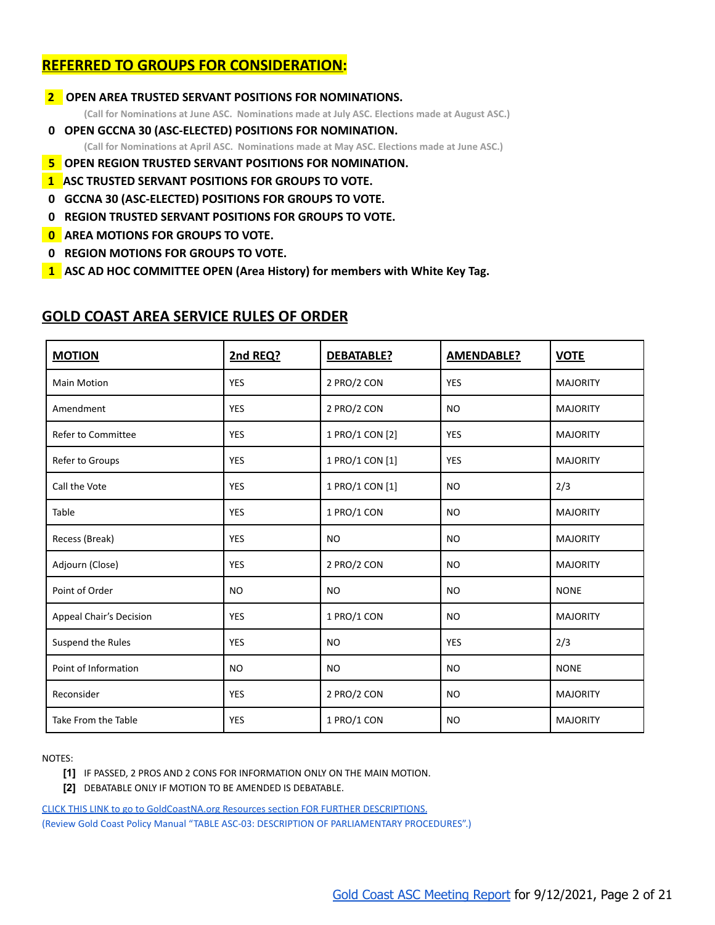# **REFERRED TO GROUPS FOR CONSIDERATION:**

**2 OPEN AREA TRUSTED SERVANT POSITIONS FOR NOMINATIONS. (Call for Nominations at June ASC. Nominations made at July ASC. Elections made at August ASC.) 000 OPEN GCCNA 30 (ASC-ELECTED) POSITIONS FOR NOMINATION.**

**(Call for Nominations at April ASC. Nominations made at May ASC. Elections made at June ASC.)**

- **050 OPEN REGION TRUSTED SERVANT POSITIONS FOR NOMINATION.**
- **1 ASC TRUSTED SERVANT POSITIONS FOR GROUPS TO VOTE.**
- **000 GCCNA 30 (ASC-ELECTED) POSITIONS FOR GROUPS TO VOTE.**
- **000 REGION TRUSTED SERVANT POSITIONS FOR GROUPS TO VOTE.**
- **000 AREA MOTIONS FOR GROUPS TO VOTE.**
- **000 REGION MOTIONS FOR GROUPS TO VOTE.**
- **010 ASC AD HOC COMMITTEE OPEN (Area History) for members with White Key Tag.**

| <b>MOTION</b>                  | 2nd REQ?   | DEBATABLE?      | <b>AMENDABLE?</b> | <b>VOTE</b>     |
|--------------------------------|------------|-----------------|-------------------|-----------------|
| <b>Main Motion</b>             | <b>YES</b> | 2 PRO/2 CON     | <b>YES</b>        | <b>MAJORITY</b> |
| Amendment                      | <b>YES</b> | 2 PRO/2 CON     | <b>NO</b>         | <b>MAJORITY</b> |
| Refer to Committee             | <b>YES</b> | 1 PRO/1 CON [2] | <b>YES</b>        | <b>MAJORITY</b> |
| Refer to Groups                | <b>YES</b> | 1 PRO/1 CON [1] | YES               | <b>MAJORITY</b> |
| Call the Vote                  | <b>YES</b> | 1 PRO/1 CON [1] | <b>NO</b>         | 2/3             |
| Table                          | <b>YES</b> | 1 PRO/1 CON     | <b>NO</b>         | <b>MAJORITY</b> |
| Recess (Break)                 | <b>YES</b> | <b>NO</b>       | <b>NO</b>         | <b>MAJORITY</b> |
| Adjourn (Close)                | <b>YES</b> | 2 PRO/2 CON     | <b>NO</b>         | <b>MAJORITY</b> |
| Point of Order                 | <b>NO</b>  | <b>NO</b>       | <b>NO</b>         | <b>NONE</b>     |
| <b>Appeal Chair's Decision</b> | <b>YES</b> | 1 PRO/1 CON     | <b>NO</b>         | <b>MAJORITY</b> |
| Suspend the Rules              | <b>YES</b> | <b>NO</b>       | <b>YES</b>        | 2/3             |
| Point of Information           | <b>NO</b>  | <b>NO</b>       | <b>NO</b>         | <b>NONE</b>     |
| Reconsider                     | <b>YES</b> | 2 PRO/2 CON     | <b>NO</b>         | <b>MAJORITY</b> |
| Take From the Table            | <b>YES</b> | 1 PRO/1 CON     | <b>NO</b>         | <b>MAJORITY</b> |

# **GOLD COAST AREA SERVICE RULES OF ORDER**

NOTES:

**[1]** IF PASSED, 2 PROS AND 2 CONS FOR INFORMATION ONLY ON THE MAIN MOTION.

**[2]** DEBATABLE ONLY IF MOTION TO BE AMENDED IS DEBATABLE.

[CLICK THIS LINK to go to GoldCoastNA.org Resources section FOR FURTHER DESCRIPTIONS.](https://goldcoastna.org/resources) [\(Review Gold Coast Policy Manual "TABLE ASC-03: DESCRIPTION OF PARLIAMENTARY PROCEDURES".\)](https://goldcoastna.org/resources)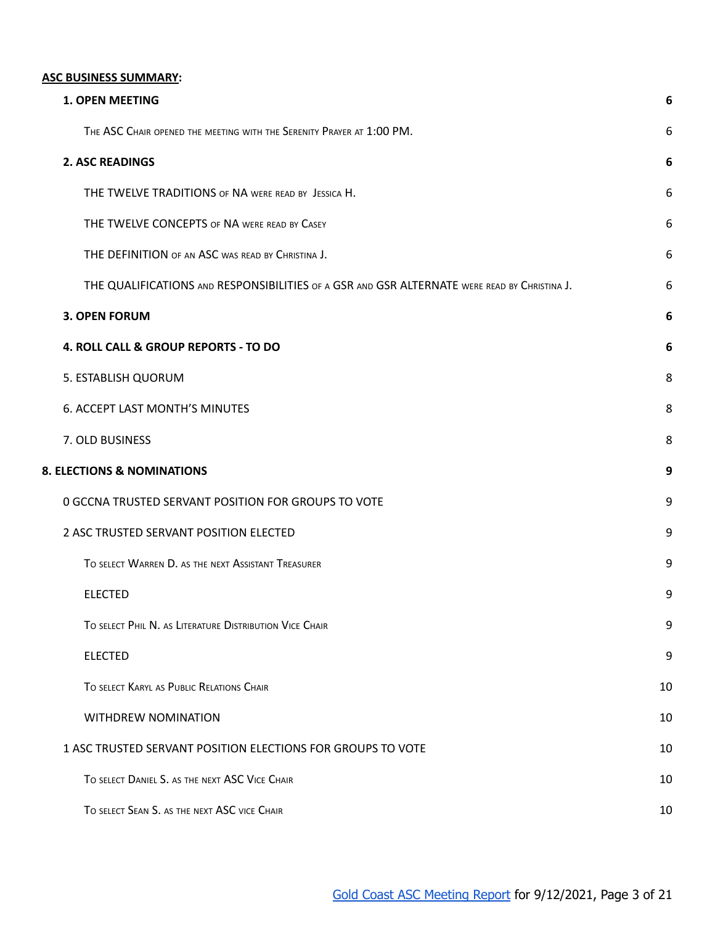### <span id="page-2-0"></span>**ASC BUSINESS SUMMARY:**

| <b>1. OPEN MEETING</b>                                                                       | 6  |
|----------------------------------------------------------------------------------------------|----|
| THE ASC CHAIR OPENED THE MEETING WITH THE SERENITY PRAYER AT 1:00 PM.                        | 6  |
| <b>2. ASC READINGS</b>                                                                       | 6  |
| THE TWELVE TRADITIONS OF NA WERE READ BY JESSICA H.                                          | 6  |
| THE TWELVE CONCEPTS OF NA WERE READ BY CASEY                                                 | 6  |
| THE DEFINITION OF AN ASC WAS READ BY CHRISTINA J.                                            | 6  |
| THE QUALIFICATIONS AND RESPONSIBILITIES OF A GSR AND GSR ALTERNATE WERE READ BY CHRISTINA J. | 6  |
| <b>3. OPEN FORUM</b>                                                                         | 6  |
| 4. ROLL CALL & GROUP REPORTS - TO DO                                                         | 6  |
| 5. ESTABLISH QUORUM                                                                          | 8  |
| 6. ACCEPT LAST MONTH'S MINUTES                                                               | 8  |
| 7. OLD BUSINESS                                                                              | 8  |
| 8. ELECTIONS & NOMINATIONS                                                                   | 9  |
| 0 GCCNA TRUSTED SERVANT POSITION FOR GROUPS TO VOTE                                          | 9  |
| 2 ASC TRUSTED SERVANT POSITION ELECTED                                                       | 9  |
| TO SELECT WARREN D. AS THE NEXT ASSISTANT TREASURER                                          | 9  |
| <b>ELECTED</b>                                                                               | 9  |
| TO SELECT PHIL N. AS LITERATURE DISTRIBUTION VICE CHAIR                                      | 9  |
| <b>ELECTED</b>                                                                               | 9  |
| TO SELECT KARYL AS PUBLIC RELATIONS CHAIR                                                    | 10 |
| WITHDREW NOMINATION                                                                          | 10 |
| 1 ASC TRUSTED SERVANT POSITION ELECTIONS FOR GROUPS TO VOTE                                  | 10 |
| TO SELECT DANIEL S. AS THE NEXT ASC VICE CHAIR                                               | 10 |
| TO SELECT SEAN S. AS THE NEXT ASC VICE CHAIR                                                 | 10 |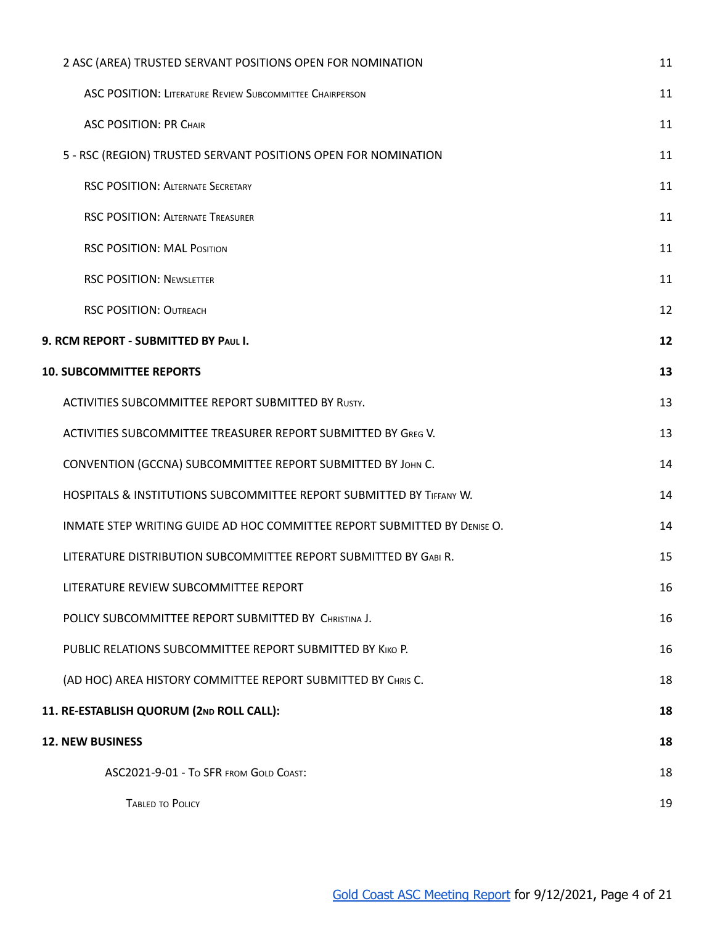| 2 ASC (AREA) TRUSTED SERVANT POSITIONS OPEN FOR NOMINATION               | 11 |
|--------------------------------------------------------------------------|----|
| <b>ASC POSITION: LITERATURE REVIEW SUBCOMMITTEE CHAIRPERSON</b>          | 11 |
| <b>ASC POSITION: PR CHAIR</b>                                            | 11 |
| 5 - RSC (REGION) TRUSTED SERVANT POSITIONS OPEN FOR NOMINATION           | 11 |
| <b>RSC POSITION: ALTERNATE SECRETARY</b>                                 | 11 |
| <b>RSC POSITION: ALTERNATE TREASURER</b>                                 | 11 |
| <b>RSC POSITION: MAL POSITION</b>                                        | 11 |
| <b>RSC POSITION: NEWSLETTER</b>                                          | 11 |
| <b>RSC POSITION: OUTREACH</b>                                            | 12 |
| 9. RCM REPORT - SUBMITTED BY PAUL I.                                     | 12 |
| <b>10. SUBCOMMITTEE REPORTS</b>                                          | 13 |
| ACTIVITIES SUBCOMMITTEE REPORT SUBMITTED BY RUSTY.                       | 13 |
| ACTIVITIES SUBCOMMITTEE TREASURER REPORT SUBMITTED BY GREG V.            | 13 |
| CONVENTION (GCCNA) SUBCOMMITTEE REPORT SUBMITTED BY JOHN C.              | 14 |
| HOSPITALS & INSTITUTIONS SUBCOMMITTEE REPORT SUBMITTED BY TIFFANY W.     | 14 |
| INMATE STEP WRITING GUIDE AD HOC COMMITTEE REPORT SUBMITTED BY DENISE O. | 14 |
| LITERATURE DISTRIBUTION SUBCOMMITTEE REPORT SUBMITTED BY GABI R.         | 15 |
| LITERATURE REVIEW SUBCOMMITTEE REPORT                                    | 16 |
| POLICY SUBCOMMITTEE REPORT SUBMITTED BY CHRISTINA J.                     | 16 |
| PUBLIC RELATIONS SUBCOMMITTEE REPORT SUBMITTED BY KIKO P.                | 16 |
| (AD HOC) AREA HISTORY COMMITTEE REPORT SUBMITTED BY CHRIS C.             | 18 |
| 11. RE-ESTABLISH QUORUM (2ND ROLL CALL):                                 | 18 |
| <b>12. NEW BUSINESS</b>                                                  | 18 |
| ASC2021-9-01 - To SFR FROM GOLD COAST:                                   | 18 |
| <b>TABLED TO POLICY</b>                                                  | 19 |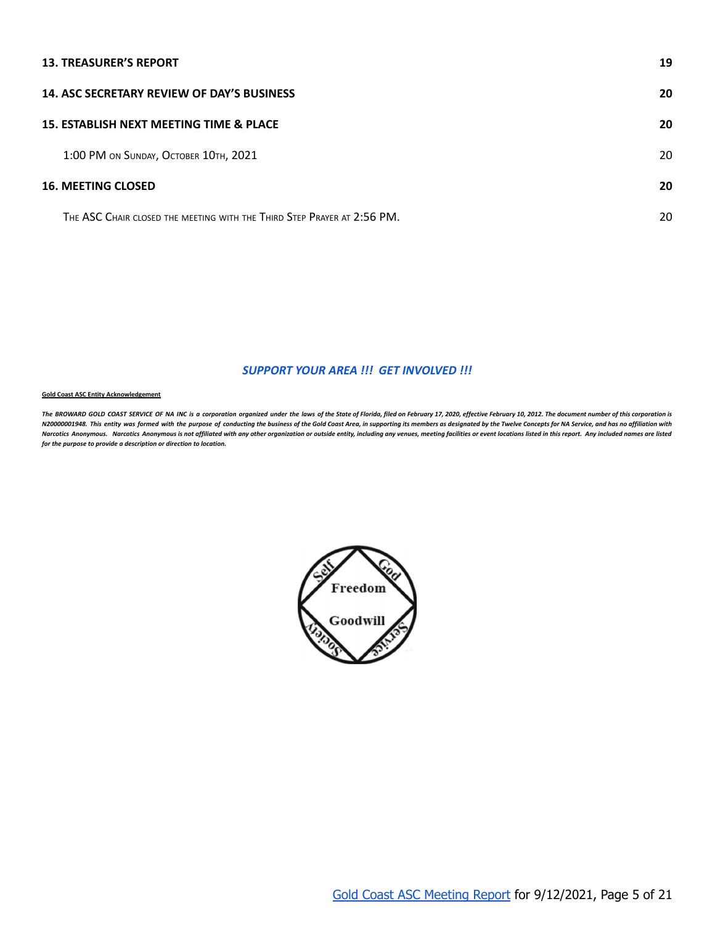### **13. [TREASURER'S](#page-18-0) REPORT [19](#page-18-0)**

| <b>14. ASC SECRETARY REVIEW OF DAY'S BUSINESS</b>                       | 20 |
|-------------------------------------------------------------------------|----|
| 15. ESTABLISH NEXT MEETING TIME & PLACE                                 | 20 |
| 1:00 PM ON SUNDAY, OCTOBER 10TH, 2021                                   | 20 |
| <b>16. MEETING CLOSED</b>                                               | 20 |
| THE ASC CHAIR CLOSED THE MEETING WITH THE THIRD STEP PRAYER AT 2:56 PM. | 20 |

#### *SUPPORT YOUR AREA !!! GET INVOLVED !!!*

#### **Gold Coast ASC Entity Acknowledgement**

The BROWARD GOLD COAST SERVICE OF NA INC is a corporation organized under the laws of the State of Florida, filed on February 17, 2020, effective February 10, 2012. The document number of this corporation is N20000001948. This entity was formed with the purpose of conducting the business of the Gold Coast Area, in supporting its members as designated by the Twelve Concepts for NA Service, and has no affiliation with Narcotics Anonymous. Narcotics Anonymous is not affiliated with any other organization or outside entity, including any venues, meeting facilities or event locations listed in this report. Any included names are listed *for the purpose to provide a description or direction to location.*

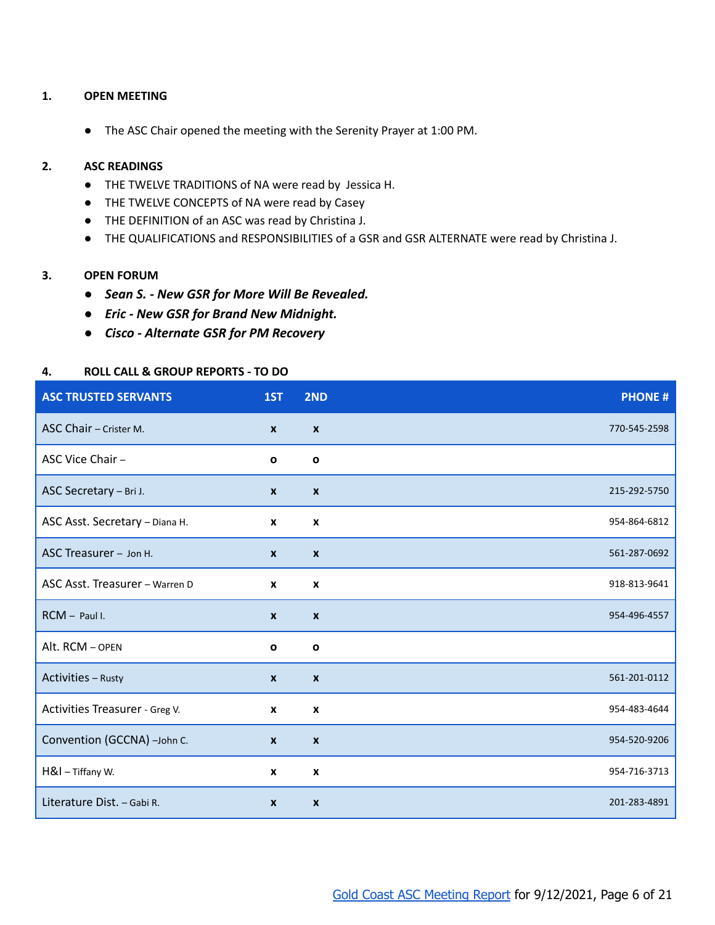### <span id="page-5-1"></span><span id="page-5-0"></span>**1. OPEN MEETING**

● The ASC Chair opened the meeting with the Serenity Prayer at 1:00 PM.

### <span id="page-5-4"></span><span id="page-5-3"></span><span id="page-5-2"></span>**2. ASC READINGS**

- THE TWELVE TRADITIONS of NA were read by Jessica H.
- THE TWELVE CONCEPTS of NA were read by Casey
- <span id="page-5-5"></span>● THE DEFINITION of an ASC was read by Christina J.
- THE QUALIFICATIONS and RESPONSIBILITIES of a GSR and GSR ALTERNATE were read by Christina J.

### <span id="page-5-7"></span><span id="page-5-6"></span>**3. OPEN FORUM**

- *● Sean S. New GSR for More Will Be Revealed.*
- *● Eric New GSR for Brand New Midnight.*
- *● Cisco Alternate GSR for PM Recovery*

### <span id="page-5-8"></span>**4. ROLL CALL & GROUP REPORTS - TO DO**

| <b>ASC TRUSTED SERVANTS</b>    | 1ST                       | 2ND              | <b>PHONE#</b> |
|--------------------------------|---------------------------|------------------|---------------|
| ASC Chair - Crister M.         | $\mathbf{x}$              | $\boldsymbol{x}$ | 770-545-2598  |
| ASC Vice Chair -               | $\mathbf o$               | $\mathbf{o}$     |               |
| ASC Secretary - Bri J.         | $\boldsymbol{x}$          | $\boldsymbol{x}$ | 215-292-5750  |
| ASC Asst. Secretary - Diana H. | $\boldsymbol{\mathsf{x}}$ | $\boldsymbol{x}$ | 954-864-6812  |
| ASC Treasurer - Jon H.         | $\boldsymbol{x}$          | $\boldsymbol{x}$ | 561-287-0692  |
| ASC Asst. Treasurer - Warren D | $\boldsymbol{x}$          | $\boldsymbol{x}$ | 918-813-9641  |
| RCM - Paul I.                  | $\boldsymbol{x}$          | $\boldsymbol{x}$ | 954-496-4557  |
| Alt. RCM - OPEN                | $\mathbf o$               | $\mathbf{o}$     |               |
| Activities - Rusty             | $\boldsymbol{x}$          | $\boldsymbol{x}$ | 561-201-0112  |
| Activities Treasurer - Greg V. | X                         | $\boldsymbol{x}$ | 954-483-4644  |
| Convention (GCCNA) -John C.    | $\boldsymbol{x}$          | $\boldsymbol{x}$ | 954-520-9206  |
| H&I - Tiffany W.               | X                         | $\boldsymbol{x}$ | 954-716-3713  |
| Literature Dist. - Gabi R.     | $\boldsymbol{x}$          | $\boldsymbol{x}$ | 201-283-4891  |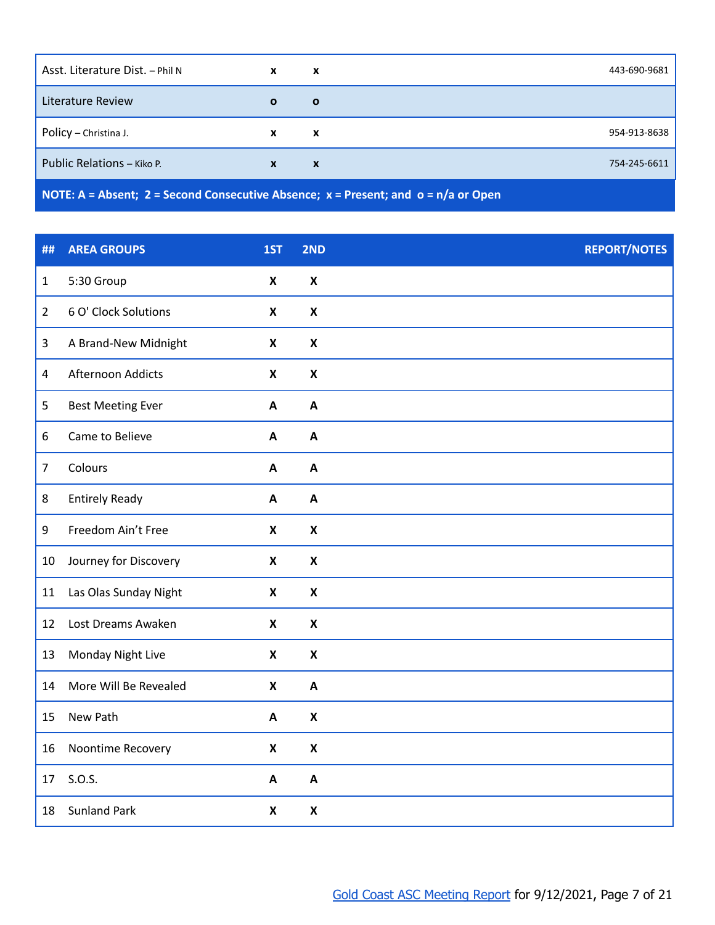| Asst. Literature Dist. - Phil N | X            | X                         | 443-690-9681 |
|---------------------------------|--------------|---------------------------|--------------|
| Literature Review               | $\mathbf{o}$ | $\mathbf{o}$              |              |
| Policy - Christina J.           | X            | X                         | 954-913-8638 |
| Public Relations - Kiko P.      | $\mathbf{x}$ | $\boldsymbol{\mathsf{x}}$ | 754-245-6611 |
|                                 |              |                           |              |

**NOTE: A = Absent; 2 = Second Consecutive Absence; x = Present; and o = n/a or Open**

| ##             | <b>AREA GROUPS</b>       | 1ST                       | 2ND                       | <b>REPORT/NOTES</b> |
|----------------|--------------------------|---------------------------|---------------------------|---------------------|
| $\mathbf 1$    | 5:30 Group               | $\pmb{\mathsf{X}}$        | $\pmb{\mathsf{X}}$        |                     |
| $\overline{2}$ | 6 O' Clock Solutions     | $\pmb{\mathsf{X}}$        | $\pmb{\mathsf{X}}$        |                     |
| $\mathbf{3}$   | A Brand-New Midnight     | $\pmb{\mathsf{X}}$        | $\pmb{\mathsf{X}}$        |                     |
| $\overline{4}$ | Afternoon Addicts        | $\pmb{\mathsf{X}}$        | $\pmb{\mathsf{X}}$        |                     |
| 5              | <b>Best Meeting Ever</b> | $\boldsymbol{\mathsf{A}}$ | $\boldsymbol{\mathsf{A}}$ |                     |
| 6              | Came to Believe          | A                         | $\boldsymbol{\mathsf{A}}$ |                     |
| $\overline{7}$ | Colours                  | $\mathbf{A}$              | $\boldsymbol{A}$          |                     |
| 8              | <b>Entirely Ready</b>    | $\boldsymbol{\mathsf{A}}$ | $\mathbf{A}$              |                     |
| 9              | Freedom Ain't Free       | $\boldsymbol{\mathsf{x}}$ | $\pmb{\mathsf{X}}$        |                     |
| 10             | Journey for Discovery    | $\pmb{\mathsf{X}}$        | $\pmb{\mathsf{X}}$        |                     |
| 11             | Las Olas Sunday Night    | $\boldsymbol{\mathsf{x}}$ | $\pmb{\mathsf{X}}$        |                     |
| 12             | Lost Dreams Awaken       | $\boldsymbol{\mathsf{x}}$ | $\pmb{\mathsf{X}}$        |                     |
| 13             | Monday Night Live        | $\boldsymbol{\mathsf{x}}$ | $\pmb{\mathsf{X}}$        |                     |
| 14             | More Will Be Revealed    | $\boldsymbol{\mathsf{x}}$ | $\boldsymbol{\mathsf{A}}$ |                     |
| 15             | New Path                 | A                         | $\pmb{\mathsf{X}}$        |                     |
| 16             | Noontime Recovery        | $\boldsymbol{\mathsf{x}}$ | $\pmb{\mathsf{X}}$        |                     |
| 17             | S.O.S.                   | $\boldsymbol{\mathsf{A}}$ | $\mathsf{A}$              |                     |
| 18             | <b>Sunland Park</b>      | $\boldsymbol{\mathsf{x}}$ | $\boldsymbol{\mathsf{x}}$ |                     |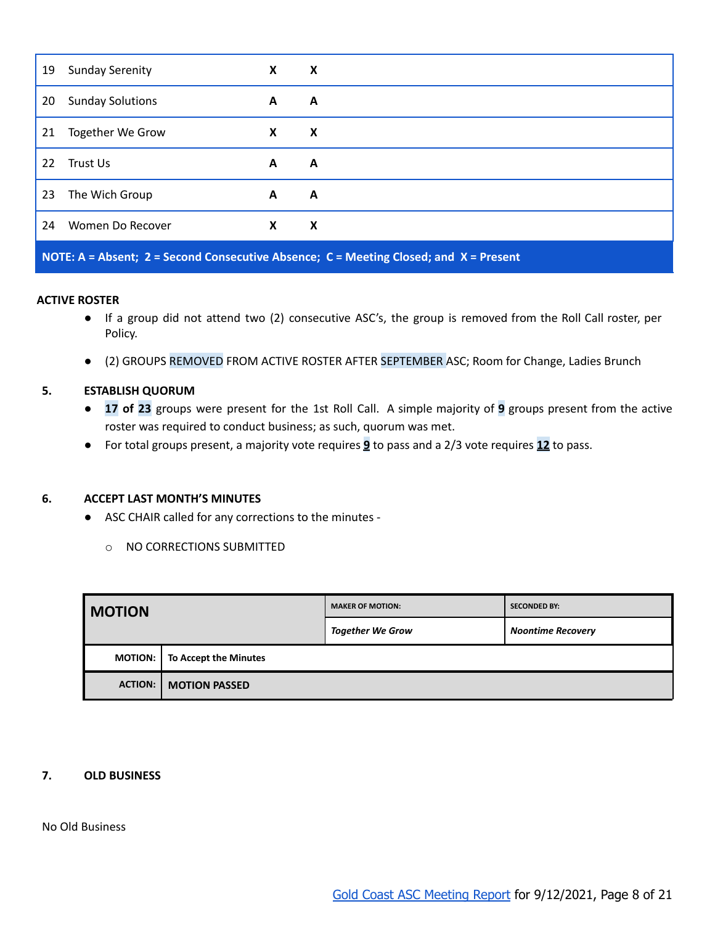| 19                                                                                      | <b>Sunday Serenity</b>  | X | X |  |
|-----------------------------------------------------------------------------------------|-------------------------|---|---|--|
| 20                                                                                      | <b>Sunday Solutions</b> | A | A |  |
| 21                                                                                      | <b>Together We Grow</b> | X | X |  |
| 22                                                                                      | Trust Us                | A | A |  |
| 23                                                                                      | The Wich Group          | A | A |  |
| 24                                                                                      | Women Do Recover        | X | X |  |
| NOTE: A = Absent; 2 = Second Consecutive Absence; C = Meeting Closed; and $X$ = Present |                         |   |   |  |

### **ACTIVE ROSTER**

- If a group did not attend two (2) consecutive ASC's, the group is removed from the Roll Call roster, per Policy.
- (2) GROUPS REMOVED FROM ACTIVE ROSTER AFTER SEPTEMBER ASC; Room for Change, Ladies Brunch

### <span id="page-7-0"></span>**5. ESTABLISH QUORUM**

- **17 of 23** groups were present for the 1st Roll Call. A simple majority of **9** groups present from the active roster was required to conduct business; as such, quorum was met.
- For total groups present, a majority vote requires **9** to pass and a 2/3 vote requires **12** to pass.

### <span id="page-7-1"></span>**6. ACCEPT LAST MONTH'S MINUTES**

- ASC CHAIR called for any corrections to the minutes
	- o NO CORRECTIONS SUBMITTED

| <b>MOTION</b>  |                       | <b>MAKER OF MOTION:</b> | <b>SECONDED BY:</b>      |
|----------------|-----------------------|-------------------------|--------------------------|
|                |                       | <b>Together We Grow</b> | <b>Noontime Recovery</b> |
| MOTION:        | To Accept the Minutes |                         |                          |
| <b>ACTION:</b> | <b>MOTION PASSED</b>  |                         |                          |

#### <span id="page-7-2"></span>**7. OLD BUSINESS**

No Old Business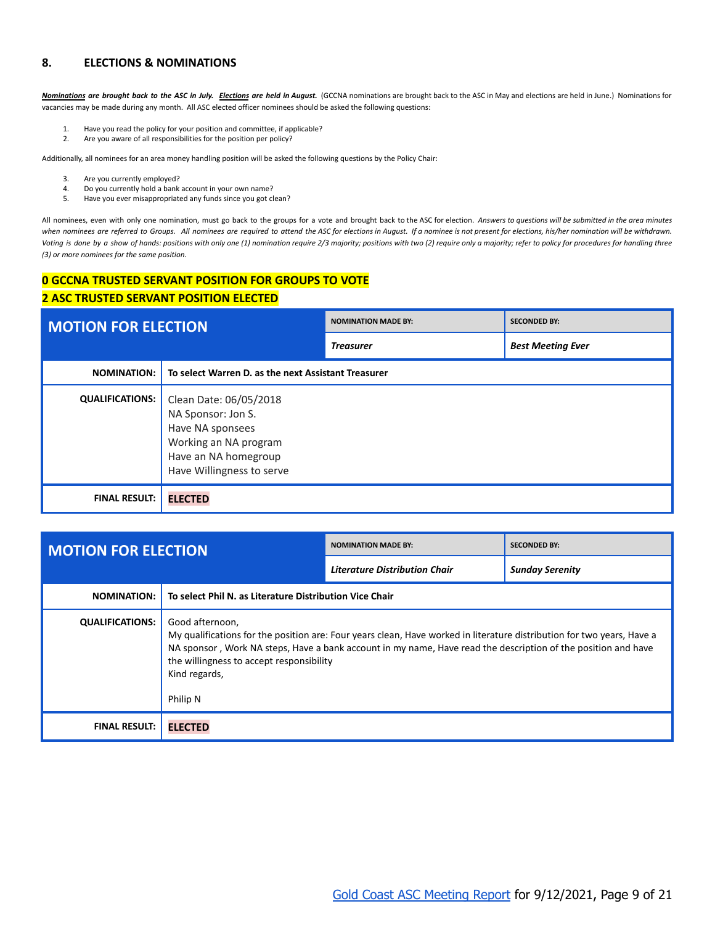### <span id="page-8-0"></span>**8. ELECTIONS & NOMINATIONS**

Nominations are brought back to the ASC in July. Elections are held in August. (GCCNA nominations are brought back to the ASC in May and elections are held in June.) Nominations for vacancies may be made during any month. All ASC elected officer nominees should be asked the following questions:

- 1. Have you read the policy for your position and committee, if applicable?
- 2. Are you aware of all responsibilities for the position per policy?

Additionally, all nominees for an area money handling position will be asked the following questions by the Policy Chair:

- 3. Are you currently employed?<br>4. Do you currently hold a bank
- 4. Do you currently hold a bank account in your own name?
- 5. Have you ever misappropriated any funds since you got clean?

All nominees, even with only one nomination, must go back to the groups for a vote and brought back to the ASC for election. Answers to questions will be submitted in the area minutes when nominees are referred to Groups. All nominees are required to attend the ASC for elections in August. If a nominee is not present for elections, his/her nomination will be withdrawn. Voting is done by a show of hands: positions with only one (1) nomination require 2/3 majority; positions with two (2) require only a majority; refer to policy for procedures for handling three *(3) or more nominees for the same position.*

# <span id="page-8-1"></span>**0 GCCNA TRUSTED SERVANT POSITION FOR GROUPS TO VOTE**

#### <span id="page-8-2"></span>**2 ASC TRUSTED SERVANT POSITION ELECTED**

<span id="page-8-3"></span>

| <b>MOTION FOR ELECTION</b> |                                                                                                                                                | <b>NOMINATION MADE BY:</b> | <b>SECONDED BY:</b>      |
|----------------------------|------------------------------------------------------------------------------------------------------------------------------------------------|----------------------------|--------------------------|
|                            |                                                                                                                                                | <b>Treasurer</b>           | <b>Best Meeting Ever</b> |
| <b>NOMINATION:</b>         | To select Warren D. as the next Assistant Treasurer                                                                                            |                            |                          |
| <b>QUALIFICATIONS:</b>     | Clean Date: 06/05/2018<br>NA Sponsor: Jon S.<br>Have NA sponsees<br>Working an NA program<br>Have an NA homegroup<br>Have Willingness to serve |                            |                          |
| <b>FINAL RESULT:</b>       | <b>ELECTED</b>                                                                                                                                 |                            |                          |

<span id="page-8-6"></span><span id="page-8-5"></span><span id="page-8-4"></span>

| <b>MOTION FOR ELECTION</b> |                                                                                          | <b>NOMINATION MADE BY:</b>                                                                                                                                                                                                              | <b>SECONDED BY:</b>    |  |
|----------------------------|------------------------------------------------------------------------------------------|-----------------------------------------------------------------------------------------------------------------------------------------------------------------------------------------------------------------------------------------|------------------------|--|
|                            |                                                                                          | <b>Literature Distribution Chair</b>                                                                                                                                                                                                    | <b>Sunday Serenity</b> |  |
| <b>NOMINATION:</b>         | To select Phil N. as Literature Distribution Vice Chair                                  |                                                                                                                                                                                                                                         |                        |  |
| <b>QUALIFICATIONS:</b>     | Good afternoon,<br>the willingness to accept responsibility<br>Kind regards,<br>Philip N | My qualifications for the position are: Four years clean, Have worked in literature distribution for two years, Have a<br>NA sponsor, Work NA steps, Have a bank account in my name, Have read the description of the position and have |                        |  |
| <b>FINAL RESULT:</b>       | <b>ELECTED</b>                                                                           |                                                                                                                                                                                                                                         |                        |  |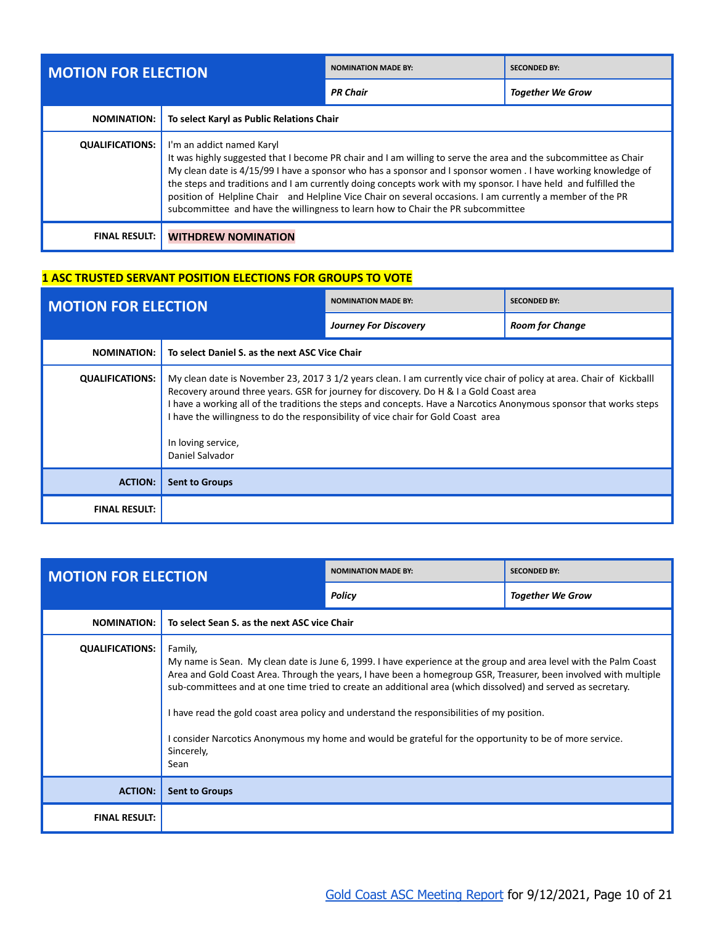<span id="page-9-0"></span>

| <b>MOTION FOR ELECTION</b> |                                                                                                                                                                                                                                                                                                                                                                                                                                                                                                                                                                                  | <b>NOMINATION MADE BY:</b> | <b>SECONDED BY:</b>     |
|----------------------------|----------------------------------------------------------------------------------------------------------------------------------------------------------------------------------------------------------------------------------------------------------------------------------------------------------------------------------------------------------------------------------------------------------------------------------------------------------------------------------------------------------------------------------------------------------------------------------|----------------------------|-------------------------|
|                            |                                                                                                                                                                                                                                                                                                                                                                                                                                                                                                                                                                                  | <b>PR Chair</b>            | <b>Together We Grow</b> |
| <b>NOMINATION:</b>         | To select Karyl as Public Relations Chair                                                                                                                                                                                                                                                                                                                                                                                                                                                                                                                                        |                            |                         |
| <b>QUALIFICATIONS:</b>     | I'm an addict named Karyl<br>It was highly suggested that I become PR chair and I am willing to serve the area and the subcommittee as Chair<br>My clean date is 4/15/99 I have a sponsor who has a sponsor and I sponsor women . I have working knowledge of<br>the steps and traditions and I am currently doing concepts work with my sponsor. I have held and fulfilled the<br>position of Helpline Chair and Helpline Vice Chair on several occasions. I am currently a member of the PR<br>subcommittee and have the willingness to learn how to Chair the PR subcommittee |                            |                         |
| <b>FINAL RESULT:</b>       | <b>WITHDREW NOMINATION</b>                                                                                                                                                                                                                                                                                                                                                                                                                                                                                                                                                       |                            |                         |

### <span id="page-9-2"></span><span id="page-9-1"></span>**1 ASC TRUSTED SERVANT POSITION ELECTIONS FOR GROUPS TO VOTE**

<span id="page-9-3"></span>

| <b>MOTION FOR ELECTION</b> |                                                                                                                                                                                                                                                                                                                                                                                                                                                                     | <b>NOMINATION MADE BY:</b>   | <b>SECONDED BY:</b>    |
|----------------------------|---------------------------------------------------------------------------------------------------------------------------------------------------------------------------------------------------------------------------------------------------------------------------------------------------------------------------------------------------------------------------------------------------------------------------------------------------------------------|------------------------------|------------------------|
|                            |                                                                                                                                                                                                                                                                                                                                                                                                                                                                     | <b>Journey For Discovery</b> | <b>Room for Change</b> |
| <b>NOMINATION:</b>         | To select Daniel S. as the next ASC Vice Chair                                                                                                                                                                                                                                                                                                                                                                                                                      |                              |                        |
| <b>QUALIFICATIONS:</b>     | My clean date is November 23, 2017 3 1/2 years clean. I am currently vice chair of policy at area. Chair of Kickballl<br>Recovery around three years. GSR for journey for discovery. Do H & I a Gold Coast area<br>I have a working all of the traditions the steps and concepts. Have a Narcotics Anonymous sponsor that works steps<br>I have the willingness to do the responsibility of vice chair for Gold Coast area<br>In loving service,<br>Daniel Salvador |                              |                        |
| <b>ACTION:</b>             | <b>Sent to Groups</b>                                                                                                                                                                                                                                                                                                                                                                                                                                               |                              |                        |
| <b>FINAL RESULT:</b>       |                                                                                                                                                                                                                                                                                                                                                                                                                                                                     |                              |                        |

<span id="page-9-4"></span>

| <b>MOTION FOR ELECTION</b> |                                                                                                                                                                                                                                                                                                                                                                                                                                                                                                                                                                                                 | <b>NOMINATION MADE BY:</b>                   | <b>SECONDED BY:</b>     |
|----------------------------|-------------------------------------------------------------------------------------------------------------------------------------------------------------------------------------------------------------------------------------------------------------------------------------------------------------------------------------------------------------------------------------------------------------------------------------------------------------------------------------------------------------------------------------------------------------------------------------------------|----------------------------------------------|-------------------------|
|                            |                                                                                                                                                                                                                                                                                                                                                                                                                                                                                                                                                                                                 | Policy                                       | <b>Together We Grow</b> |
| <b>NOMINATION:</b>         |                                                                                                                                                                                                                                                                                                                                                                                                                                                                                                                                                                                                 | To select Sean S, as the next ASC vice Chair |                         |
| <b>QUALIFICATIONS:</b>     | Family,<br>My name is Sean. My clean date is June 6, 1999. I have experience at the group and area level with the Palm Coast<br>Area and Gold Coast Area. Through the years, I have been a homegroup GSR, Treasurer, been involved with multiple<br>sub-committees and at one time tried to create an additional area (which dissolved) and served as secretary.<br>I have read the gold coast area policy and understand the responsibilities of my position.<br>I consider Narcotics Anonymous my home and would be grateful for the opportunity to be of more service.<br>Sincerely,<br>Sean |                                              |                         |
| <b>ACTION:</b>             | <b>Sent to Groups</b>                                                                                                                                                                                                                                                                                                                                                                                                                                                                                                                                                                           |                                              |                         |
| <b>FINAL RESULT:</b>       |                                                                                                                                                                                                                                                                                                                                                                                                                                                                                                                                                                                                 |                                              |                         |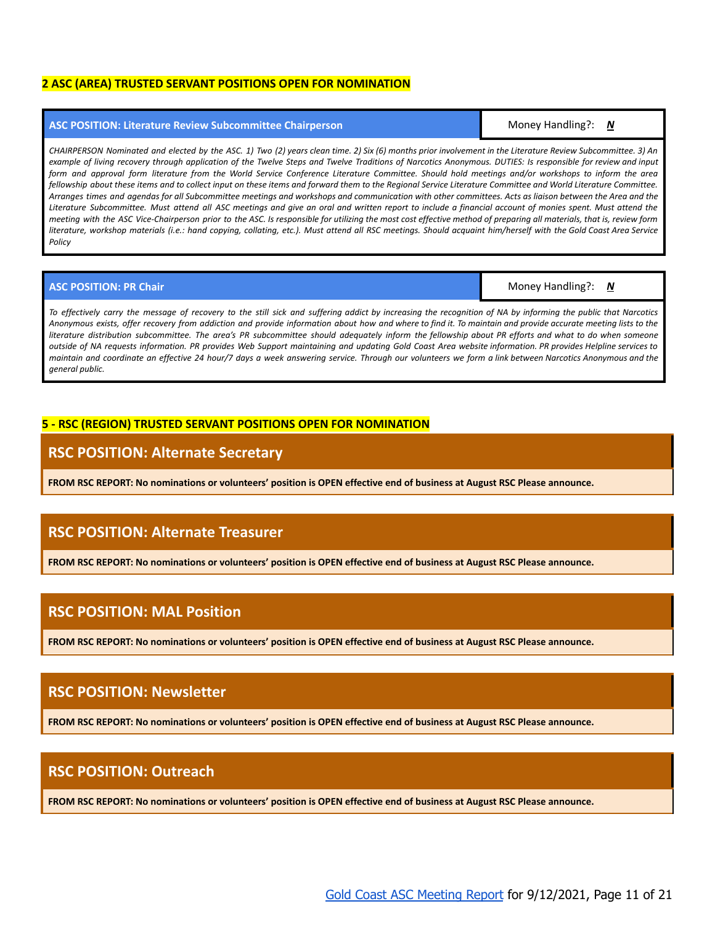#### <span id="page-10-0"></span>**2 ASC (AREA) TRUSTED SERVANT POSITIONS OPEN FOR NOMINATION**

#### <span id="page-10-1"></span>**ASC POSITION: Literature Review Subcommittee Chairperson** Money Handling?: *N*

CHAIRPERSON Nominated and elected by the ASC. 1) Two (2) years clean time. 2) Six (6) months prior involvement in the Literature Review Subcommittee. 3) An example of living recovery through application of the Twelve Steps and Twelve Traditions of Narcotics Anonymous. DUTIES: Is responsible for review and input form and approval form literature from the World Service Conference Literature Committee. Should hold meetings and/or workshops to inform the area fellowship about these items and to collect input on these items and forward them to the Regional Service Literature Committee and World Literature Committee. Arranges times and agendas for all Subcommittee meetings and workshops and communication with other committees. Acts as liaison between the Area and the Literature Subcommittee. Must attend all ASC meetings and give an oral and written report to include a financial account of monies spent. Must attend the meeting with the ASC Vice-Chairperson prior to the ASC. Is responsible for utilizing the most cost effective method of preparing all materials, that is, review form literature, workshop materials (i.e.: hand copying, collating, etc.). Must attend all RSC meetings. Should acquaint him/herself with the Gold Coast Area Service *Policy*

#### <span id="page-10-2"></span>**ASC POSITION: PR Chair** Money Handling?: *N*

To effectively carry the message of recovery to the still sick and suffering addict by increasing the recognition of NA by informing the public that Narcotics Anonymous exists, offer recovery from addiction and provide information about how and where to find it. To maintain and provide accurate meeting lists to the literature distribution subcommittee. The area's PR subcommittee should adequately inform the fellowship about PR efforts and what to do when someone outside of NA requests information. PR provides Web Support maintaining and updating Gold Coast Area website information. PR provides Helpline services to maintain and coordinate an effective 24 hour/7 days a week answering service. Through our volunteers we form a link between Narcotics Anonymous and the *general public.*

### <span id="page-10-3"></span>**5 - RSC (REGION) TRUSTED SERVANT POSITIONS OPEN FOR NOMINATION**

### <span id="page-10-4"></span>**RSC POSITION: Alternate Secretary**

**FROM RSC REPORT: No nominations or volunteers' position is OPEN effective end of business at August RSC Please announce.**

# <span id="page-10-5"></span>**RSC POSITION: Alternate Treasurer**

**FROM RSC REPORT: No nominations or volunteers' position is OPEN effective end of business at August RSC Please announce.**

## <span id="page-10-6"></span>**RSC POSITION: MAL Position**

**FROM RSC REPORT: No nominations or volunteers' position is OPEN effective end of business at August RSC Please announce.**

# <span id="page-10-7"></span>**RSC POSITION: Newsletter**

**FROM RSC REPORT: No nominations or volunteers' position is OPEN effective end of business at August RSC Please announce.**

### <span id="page-10-8"></span>**RSC POSITION: Outreach**

**FROM RSC REPORT: No nominations or volunteers' position is OPEN effective end of business at August RSC Please announce.**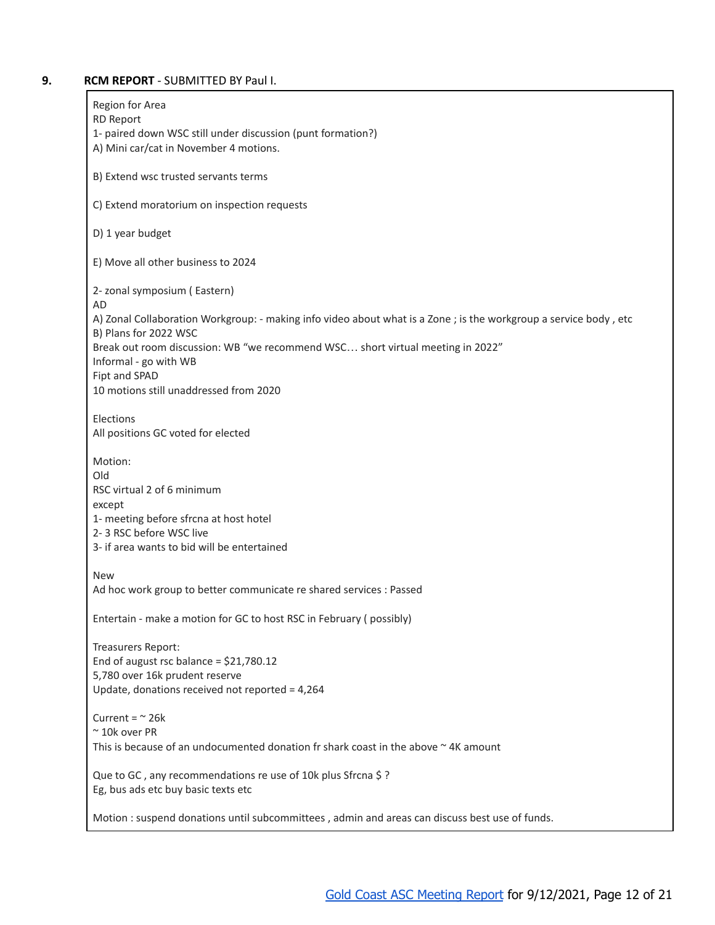### <span id="page-11-0"></span>**9. RCM REPORT** - SUBMITTED BY Paul I.

| Region for Area<br><b>RD Report</b>                                                                                                       |
|-------------------------------------------------------------------------------------------------------------------------------------------|
| 1- paired down WSC still under discussion (punt formation?)<br>A) Mini car/cat in November 4 motions.                                     |
| B) Extend wsc trusted servants terms                                                                                                      |
| C) Extend moratorium on inspection requests                                                                                               |
| D) 1 year budget                                                                                                                          |
| E) Move all other business to 2024                                                                                                        |
| 2- zonal symposium (Eastern)<br>AD                                                                                                        |
| A) Zonal Collaboration Workgroup: - making info video about what is a Zone; is the workgroup a service body, etc<br>B) Plans for 2022 WSC |
| Break out room discussion: WB "we recommend WSC short virtual meeting in 2022"                                                            |
| Informal - go with WB<br>Fipt and SPAD                                                                                                    |
| 10 motions still unaddressed from 2020                                                                                                    |
| Elections<br>All positions GC voted for elected                                                                                           |
| Motion:                                                                                                                                   |
| Old<br>RSC virtual 2 of 6 minimum                                                                                                         |
| except<br>1- meeting before sfrcna at host hotel                                                                                          |
| 2-3 RSC before WSC live                                                                                                                   |
| 3- if area wants to bid will be entertained                                                                                               |
| <b>New</b>                                                                                                                                |
| Ad hoc work group to better communicate re shared services : Passed                                                                       |
| Entertain - make a motion for GC to host RSC in February (possibly)                                                                       |
| Treasurers Report:                                                                                                                        |
| End of august rsc balance = $$21,780.12$<br>5,780 over 16k prudent reserve                                                                |
| Update, donations received not reported = 4,264                                                                                           |
| Current = $\approx$ 26k                                                                                                                   |
| $~\sim$ 10k over PR<br>This is because of an undocumented donation fr shark coast in the above $\sim$ 4K amount                           |
| Que to GC, any recommendations re use of 10k plus Sfrcna \$?<br>Eg, bus ads etc buy basic texts etc                                       |
| Motion : suspend donations until subcommittees, admin and areas can discuss best use of funds.                                            |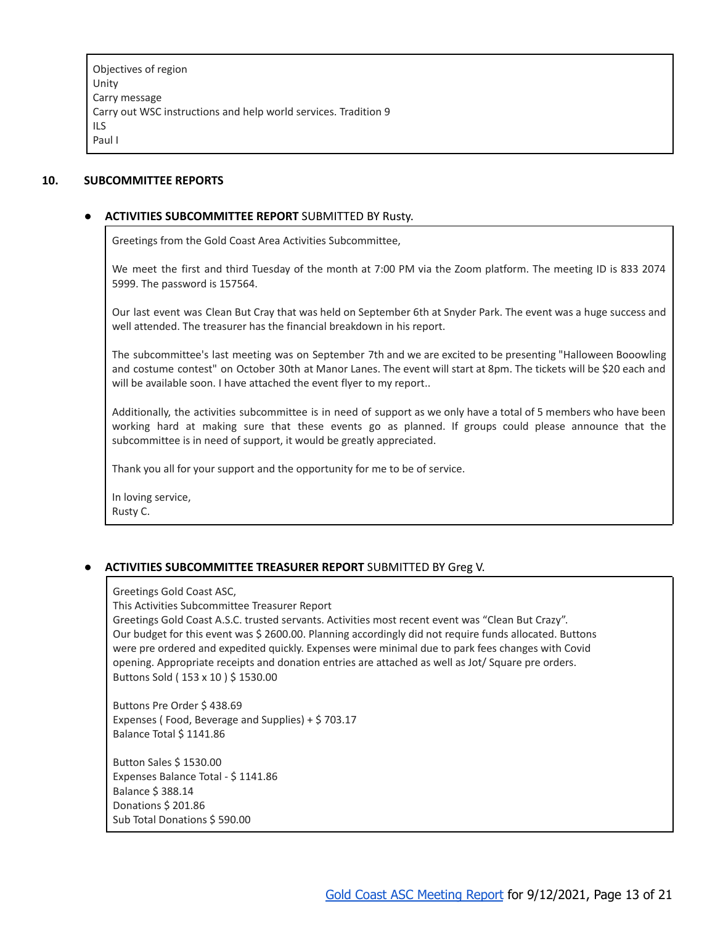Objectives of region Unity Carry message Carry out WSC instructions and help world services. Tradition 9 ILS Paul I

#### <span id="page-12-1"></span><span id="page-12-0"></span>**10. SUBCOMMITTEE REPORTS**

### **● ACTIVITIES SUBCOMMITTEE REPORT** SUBMITTED BY Rusty.

Greetings from the Gold Coast Area Activities Subcommittee,

We meet the first and third Tuesday of the month at 7:00 PM via the Zoom platform. The meeting ID is 833 2074 5999. The password is 157564.

Our last event was Clean But Cray that was held on September 6th at Snyder Park. The event was a huge success and well attended. The treasurer has the financial breakdown in his report.

The subcommittee's last meeting was on September 7th and we are excited to be presenting "Halloween Booowling and costume contest" on October 30th at Manor Lanes. The event will start at 8pm. The tickets will be \$20 each and will be available soon. I have attached the event flyer to my report..

Additionally, the activities subcommittee is in need of support as we only have a total of 5 members who have been working hard at making sure that these events go as planned. If groups could please announce that the subcommittee is in need of support, it would be greatly appreciated.

Thank you all for your support and the opportunity for me to be of service.

In loving service, Rusty C.

### <span id="page-12-2"></span>**● ACTIVITIES SUBCOMMITTEE TREASURER REPORT** SUBMITTED BY Greg V.

Greetings Gold Coast ASC,

This Activities Subcommittee Treasurer Report

Greetings Gold Coast A.S.C. trusted servants. Activities most recent event was "Clean But Crazy". Our budget for this event was \$ 2600.00. Planning accordingly did not require funds allocated. Buttons were pre ordered and expedited quickly. Expenses were minimal due to park fees changes with Covid opening. Appropriate receipts and donation entries are attached as well as Jot/ Square pre orders. Buttons Sold ( 153 x 10 ) \$ 1530.00

Buttons Pre Order \$ 438.69 Expenses ( Food, Beverage and Supplies) + \$ 703.17 Balance Total \$ 1141.86

Button Sales \$ 1530.00 Expenses Balance Total - \$ 1141.86 Balance \$ 388.14 Donations \$ 201.86 Sub Total Donations \$ 590.00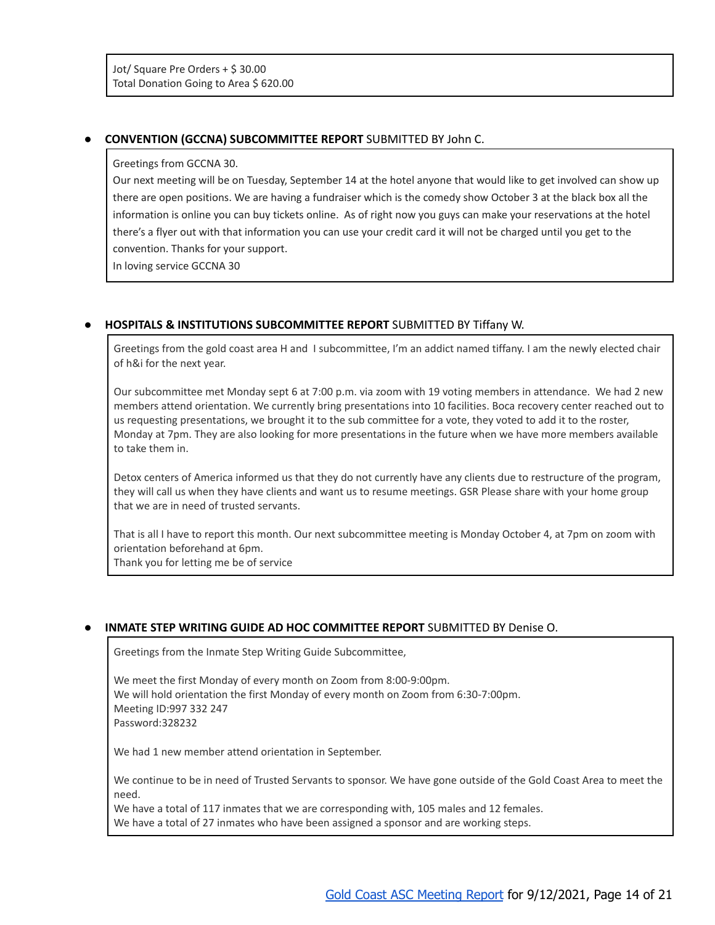### <span id="page-13-0"></span>**● CONVENTION (GCCNA) SUBCOMMITTEE REPORT** SUBMITTED BY John C.

#### Greetings from GCCNA 30.

Our next meeting will be on Tuesday, September 14 at the hotel anyone that would like to get involved can show up there are open positions. We are having a fundraiser which is the comedy show October 3 at the black box all the information is online you can buy tickets online. As of right now you guys can make your reservations at the hotel there's a flyer out with that information you can use your credit card it will not be charged until you get to the convention. Thanks for your support.

In loving service GCCNA 30

### <span id="page-13-1"></span>**● HOSPITALS & INSTITUTIONS SUBCOMMITTEE REPORT** SUBMITTED BY Tiffany W.

Greetings from the gold coast area H and I subcommittee, I'm an addict named tiffany. I am the newly elected chair of h&i for the next year.

Our subcommittee met Monday sept 6 at 7:00 p.m. via zoom with 19 voting members in attendance. We had 2 new members attend orientation. We currently bring presentations into 10 facilities. Boca recovery center reached out to us requesting presentations, we brought it to the sub committee for a vote, they voted to add it to the roster, Monday at 7pm. They are also looking for more presentations in the future when we have more members available to take them in.

Detox centers of America informed us that they do not currently have any clients due to restructure of the program, they will call us when they have clients and want us to resume meetings. GSR Please share with your home group that we are in need of trusted servants.

That is all I have to report this month. Our next subcommittee meeting is Monday October 4, at 7pm on zoom with orientation beforehand at 6pm.

Thank you for letting me be of service

#### <span id="page-13-2"></span>**● INMATE STEP WRITING GUIDE AD HOC COMMITTEE REPORT** SUBMITTED BY Denise O.

Greetings from the Inmate Step Writing Guide Subcommittee,

We meet the first Monday of every month on Zoom from 8:00-9:00pm. We will hold orientation the first Monday of every month on Zoom from 6:30-7:00pm. Meeting ID:997 332 247 Password:328232

We had 1 new member attend orientation in September.

We continue to be in need of Trusted Servants to sponsor. We have gone outside of the Gold Coast Area to meet the need.

We have a total of 117 inmates that we are corresponding with, 105 males and 12 females. We have a total of 27 inmates who have been assigned a sponsor and are working steps.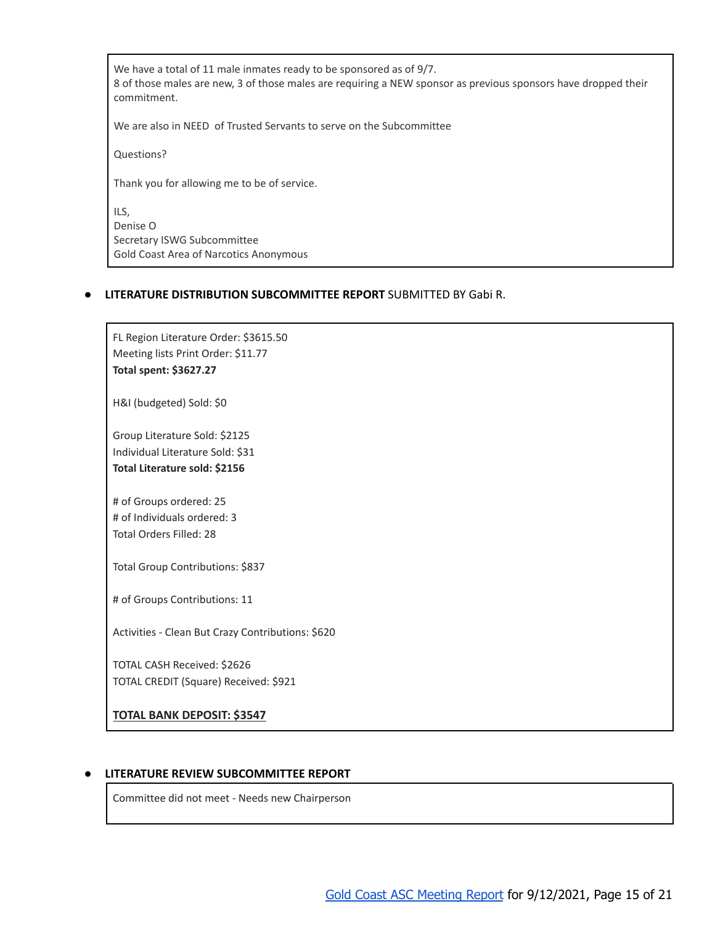We have a total of 11 male inmates ready to be sponsored as of 9/7. 8 of those males are new, 3 of those males are requiring a NEW sponsor as previous sponsors have dropped their commitment.

We are also in NEED of Trusted Servants to serve on the Subcommittee

Questions?

Thank you for allowing me to be of service.

ILS, Denise O Secretary ISWG Subcommittee Gold Coast Area of Narcotics Anonymous

#### <span id="page-14-0"></span>**● LITERATURE DISTRIBUTION SUBCOMMITTEE REPORT** SUBMITTED BY Gabi R.

FL Region Literature Order: \$3615.50 Meeting lists Print Order: \$11.77 **Total spent: \$3627.27**

H&I (budgeted) Sold: \$0

Group Literature Sold: \$2125 Individual Literature Sold: \$31 **Total Literature sold: \$2156**

# of Groups ordered: 25 # of Individuals ordered: 3 Total Orders Filled: 28

Total Group Contributions: \$837

# of Groups Contributions: 11

Activities - Clean But Crazy Contributions: \$620

TOTAL CASH Received: \$2626 TOTAL CREDIT (Square) Received: \$921

**TOTAL BANK DEPOSIT: \$3547**

#### <span id="page-14-1"></span>**● LITERATURE REVIEW SUBCOMMITTEE REPORT**

Committee did not meet - Needs new Chairperson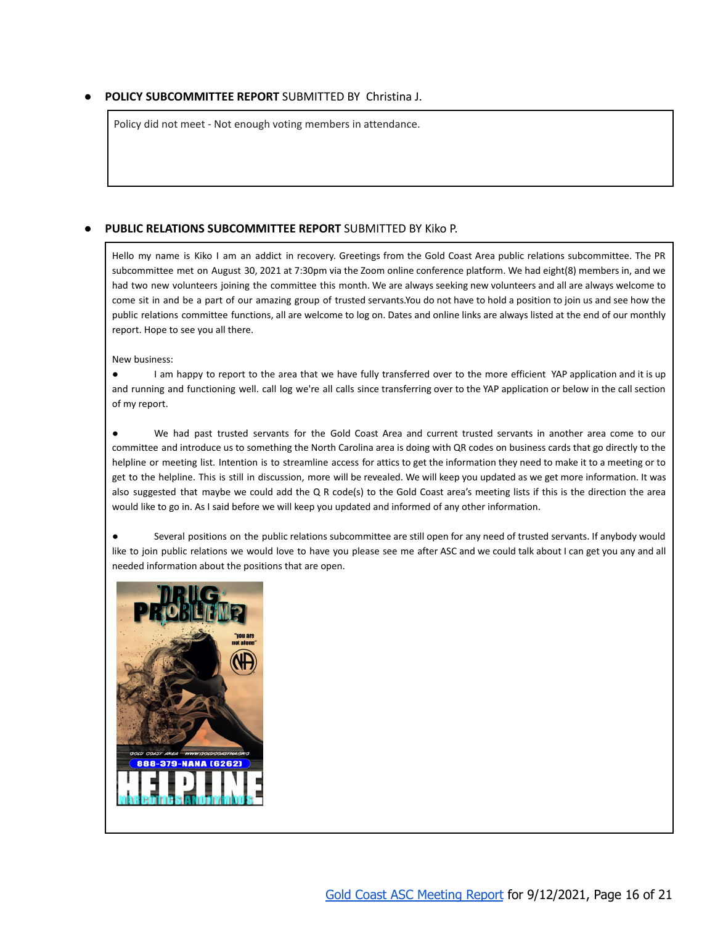### <span id="page-15-0"></span>**● POLICY SUBCOMMITTEE REPORT** SUBMITTED BY Christina J.

Policy did not meet - Not enough voting members in attendance.

### <span id="page-15-1"></span>**● PUBLIC RELATIONS SUBCOMMITTEE REPORT** SUBMITTED BY Kiko P.

Hello my name is Kiko I am an addict in recovery. Greetings from the Gold Coast Area public relations subcommittee. The PR subcommittee met on August 30, 2021 at 7:30pm via the Zoom online conference platform. We had eight(8) members in, and we had two new volunteers joining the committee this month. We are always seeking new volunteers and all are always welcome to come sit in and be a part of our amazing group of trusted servants.You do not have to hold a position to join us and see how the public relations committee functions, all are welcome to log on. Dates and online links are always listed at the end of our monthly report. Hope to see you all there.

New business:

I am happy to report to the area that we have fully transferred over to the more efficient YAP application and it is up and running and functioning well. call log we're all calls since transferring over to the YAP application or below in the call section of my report.

We had past trusted servants for the Gold Coast Area and current trusted servants in another area come to our committee and introduce us to something the North Carolina area is doing with QR codes on business cards that go directly to the helpline or meeting list. Intention is to streamline access for attics to get the information they need to make it to a meeting or to get to the helpline. This is still in discussion, more will be revealed. We will keep you updated as we get more information. It was also suggested that maybe we could add the Q R code(s) to the Gold Coast area's meeting lists if this is the direction the area would like to go in. As I said before we will keep you updated and informed of any other information.

Several positions on the public relations subcommittee are still open for any need of trusted servants. If anybody would like to join public relations we would love to have you please see me after ASC and we could talk about I can get you any and all needed information about the positions that are open.

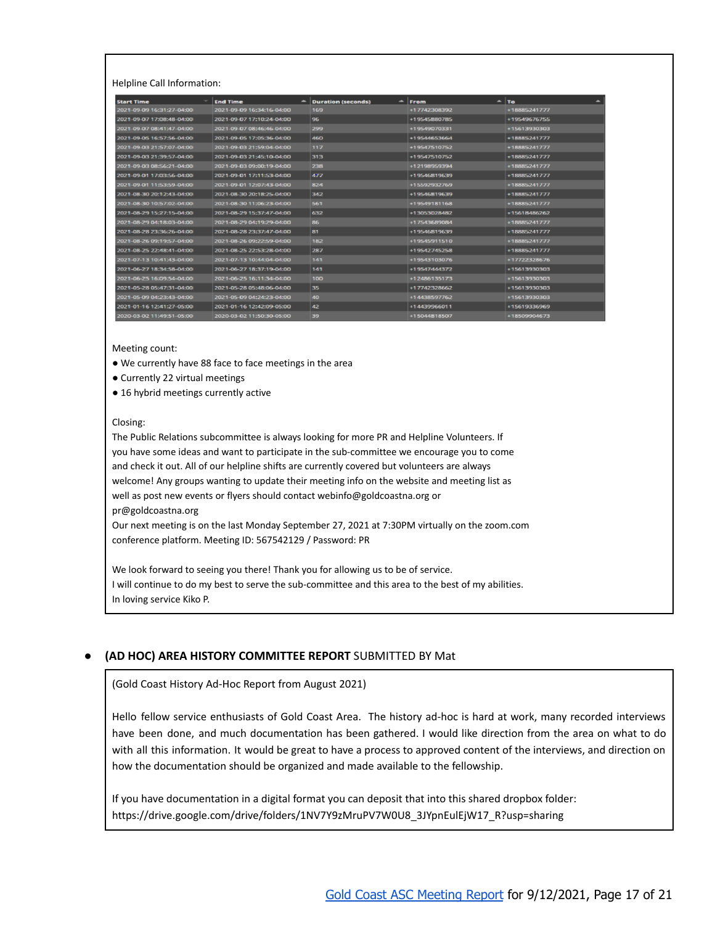Helpline Call Information:

| <b>Start Time</b>         | <b>End Time</b>           | -<br><b>Duration (seconds)</b> | $\hat{\phantom{a}}$<br>From | To           |
|---------------------------|---------------------------|--------------------------------|-----------------------------|--------------|
| 2021-09-09 16:31:27-04:00 | 2021-09-09 16:34:16 04:00 | 169                            | +17742308392                | +18885241777 |
| 2021-09-07 17:08:48-04:00 | 2021-09-07 17:10:24-04:00 | 96                             | +19545880785                | +19549676755 |
| 2021-09-07 08:41:47 04:00 | 2021-09-07 08:46:46 04:00 | 299                            | +19549070331                | +15613930303 |
| 2021-09-05 16:57:56-04:00 | 2021-09-05 17:05:36-04:00 | 460                            | +19544653664                | +18885241777 |
| 2021-09-03 21:57:07-04:00 | 2021-09-03 21:59:04-04:00 | 117                            | +19547510752                | +18885241777 |
| 2021-09-03 21:39:57-04:00 | 2021-09-03 21:45:10-04:00 | 313                            | +19547510752                | +18885241777 |
| 2021-09-03 08:56:21-04:00 | 2021-09-03 09:00:19 04:00 | 238                            | +12198959394                | +18885241777 |
| 2021-09-01 17:03:56-04:00 | 2021-09-01 17:11:53-04:00 | 477                            | +19546819639                | +18885241777 |
| 2021-09-01 11:53:59-04:00 | 2021-09-01 12:07:43-04:00 | 824                            | +15592932769                | +18885241777 |
| 2021-08-30 20:12:43-04:00 | 2021-08-30 20:18:25-04:00 | 342                            | +19546819639                | +18885241777 |
| 2021-08-30 10:57:02-04:00 | 2021-08-30 11:06:23-04:00 | 561                            | +19549181168                | +18885241777 |
| 2021-08-29 15:27:15-04:00 | 2021-08-29 15:37:47-04:00 | 632                            | +13053028482                | +15618486262 |
| 2021-08-29 04:18:03-04:00 | 2021-08-29 04:19:29-04:00 | 86                             | +17543689084                | +18885241777 |
| 2021-08-28 23:36:26-04:00 | 2021-08-28 23:37:47-04:00 | 81                             | +19546819639                | +18885241777 |
| 2021-08-26 09:19:57-04:00 | 2021-08-26 09:22:59-04:00 | 182                            | +19545911510                | +18885241777 |
| 2021-08-25 22:48:41-04:00 | 2021-08-25 22:53:28-04:00 | 287                            | +19542745258                | +18885241777 |
| 2021-07-13 10:41:43-04:00 | 2021-07-13 10:44:04-04:00 | 141                            | +19543103076                | +17722328676 |
| 2021-06-27 18:34:58-04:00 | 2021-06-27 18:37:19-04:00 | 141                            | +19547444372                | +15613930303 |
| 2021-06-25 16:09:54-04:00 | 2021-06-25 16:11:34-04:00 | 100                            | +12486135173                | +15613930303 |
| 2021-05-28 05:47:31-04:00 | 2021-05-28 05:48:06-04:00 | 35                             | +17742328662                | +15613930303 |
| 2021-05-09 04:23:43-04:00 | 2021-05-09 04:24:23-04:00 | 40                             | +14438597762                | +15613930303 |
| 2021-01-16 12:41:27-05:00 | 2021-01-16 12:42:09-05:00 | 42                             | +14439966011                | +15619336969 |
| 2020-03-02 11:49:51-05:00 | 2020-03-02 11:50:30-05:00 | 39                             | +15044818507                | +18509904673 |

Meeting count:

- We currently have 88 face to face meetings in the area
- Currently 22 virtual meetings
- 16 hybrid meetings currently active

#### Closing:

The Public Relations subcommittee is always looking for more PR and Helpline Volunteers. If you have some ideas and want to participate in the sub-committee we encourage you to come and check it out. All of our helpline shifts are currently covered but volunteers are always welcome! Any groups wanting to update their meeting info on the website and meeting list as well as post new events or flyers should contact webinfo@goldcoastna.org or pr@goldcoastna.org Our next meeting is on the last Monday September 27, 2021 at 7:30PM virtually on the zoom.com conference platform. Meeting ID: 567542129 / Password: PR

We look forward to seeing you there! Thank you for allowing us to be of service. I will continue to do my best to serve the sub-committee and this area to the best of my abilities. In loving service Kiko P.

#### <span id="page-16-0"></span>**● (AD HOC) AREA HISTORY COMMITTEE REPORT** SUBMITTED BY Mat

(Gold Coast History Ad-Hoc Report from August 2021)

Hello fellow service enthusiasts of Gold Coast Area. The history ad-hoc is hard at work, many recorded interviews have been done, and much documentation has been gathered. I would like direction from the area on what to do with all this information. It would be great to have a process to approved content of the interviews, and direction on how the documentation should be organized and made available to the fellowship.

If you have documentation in a digital format you can deposit that into this shared dropbox folder: https://drive.google.com/drive/folders/1NV7Y9zMruPV7W0U8\_3JYpnEulEjW17\_R?usp=sharing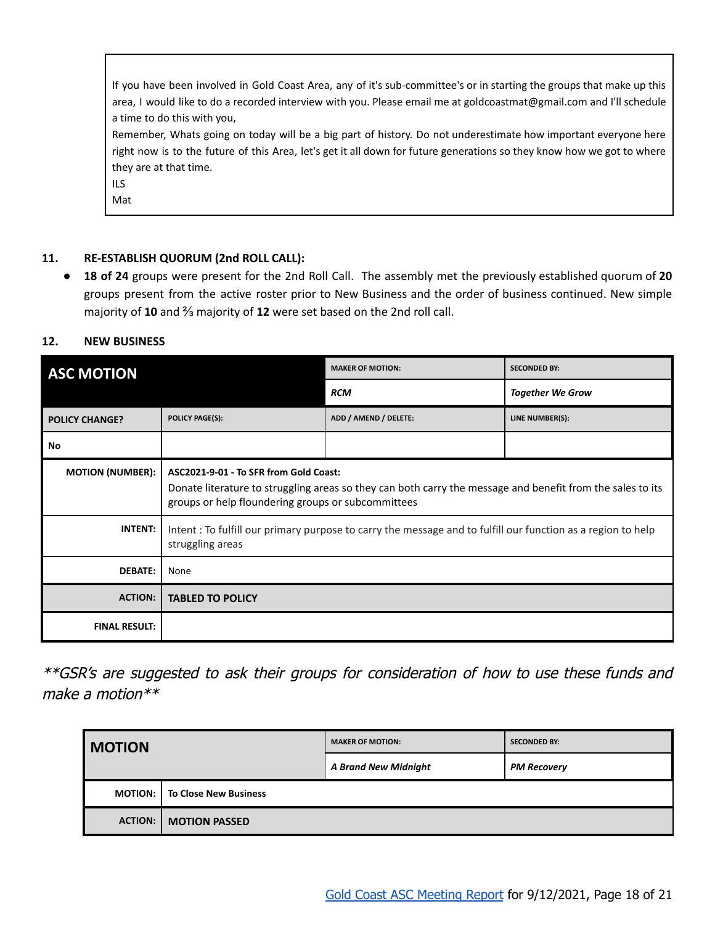If you have been involved in Gold Coast Area, any of it's sub-committee's or in starting the groups that make up this area, I would like to do a recorded interview with you. Please email me at goldcoastmat@gmail.com and I'll schedule a time to do this with you,

Remember, Whats going on today will be a big part of history. Do not underestimate how important everyone here right now is to the future of this Area, let's get it all down for future generations so they know how we got to where they are at that time.

ILS

Mat

### <span id="page-17-0"></span>**11. RE-ESTABLISH QUORUM (2nd ROLL CALL):**

● **18 of 24** groups were present for the 2nd Roll Call. The assembly met the previously established quorum of **20** groups present from the active roster prior to New Business and the order of business continued. New simple majority of **10** and ⅔ majority of **12** were set based on the 2nd roll call.

### <span id="page-17-1"></span>**12. NEW BUSINESS**

<span id="page-17-2"></span>

| <b>ASC MOTION</b>       |                                                                                                                                                                                                            | <b>MAKER OF MOTION:</b> | <b>SECONDED BY:</b>     |
|-------------------------|------------------------------------------------------------------------------------------------------------------------------------------------------------------------------------------------------------|-------------------------|-------------------------|
|                         |                                                                                                                                                                                                            | <b>RCM</b>              | <b>Together We Grow</b> |
| <b>POLICY CHANGE?</b>   | <b>POLICY PAGE(S):</b>                                                                                                                                                                                     | ADD / AMEND / DELETE:   | LINE NUMBER(S):         |
| No                      |                                                                                                                                                                                                            |                         |                         |
| <b>MOTION (NUMBER):</b> | ASC2021-9-01 - To SFR from Gold Coast:<br>Donate literature to struggling areas so they can both carry the message and benefit from the sales to its<br>groups or help floundering groups or subcommittees |                         |                         |
| <b>INTENT:</b>          | Intent : To fulfill our primary purpose to carry the message and to fulfill our function as a region to help<br>struggling areas                                                                           |                         |                         |
| <b>DEBATE:</b>          | None                                                                                                                                                                                                       |                         |                         |
| <b>ACTION:</b>          | <b>TABLED TO POLICY</b>                                                                                                                                                                                    |                         |                         |
| <b>FINAL RESULT:</b>    |                                                                                                                                                                                                            |                         |                         |

<span id="page-17-3"></span>\*\*GSR's are suggested to ask their groups for consideration of how to use these funds and make a motion\*\*

| <b>MOTION</b>                             |                      | <b>MAKER OF MOTION:</b>     | <b>SECONDED BY:</b> |
|-------------------------------------------|----------------------|-----------------------------|---------------------|
|                                           |                      | <b>A Brand New Midnight</b> | <b>PM Recovery</b>  |
| <b>To Close New Business</b><br>MOTION: I |                      |                             |                     |
| <b>ACTION:</b>                            | <b>MOTION PASSED</b> |                             |                     |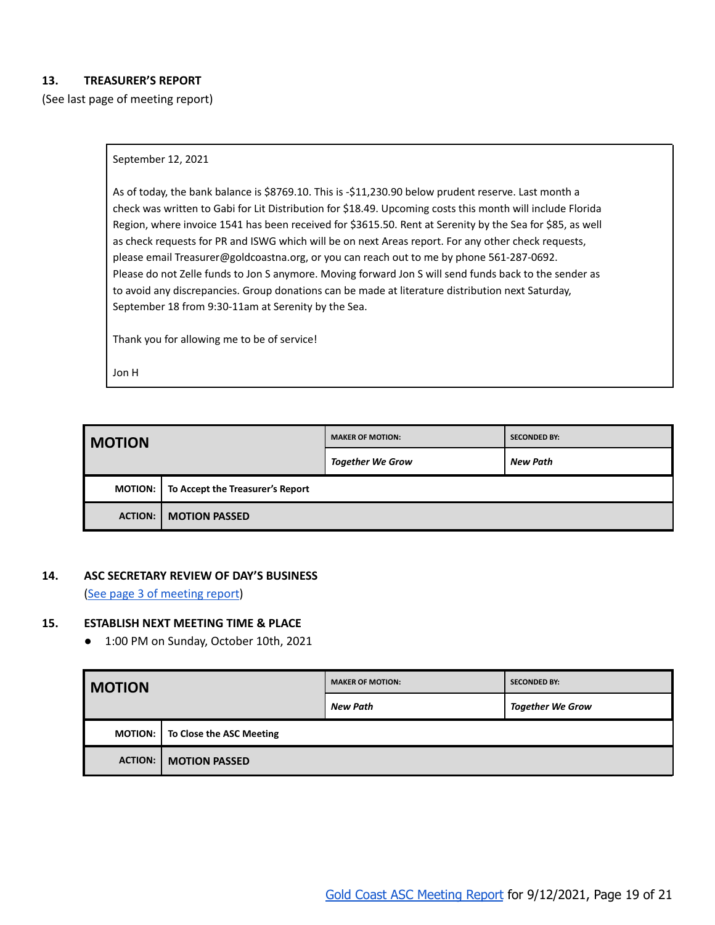### <span id="page-18-0"></span>**13. TREASURER'S REPORT**

(See last page of meeting report)

#### September 12, 2021

As of today, the bank balance is \$8769.10. This is -\$11,230.90 below prudent reserve. Last month a check was written to Gabi for Lit Distribution for \$18.49. Upcoming costs this month will include Florida Region, where invoice 1541 has been received for \$3615.50. Rent at Serenity by the Sea for \$85, as well as check requests for PR and ISWG which will be on next Areas report. For any other check requests, please email Treasurer@goldcoastna.org, or you can reach out to me by phone 561-287-0692. Please do not Zelle funds to Jon S anymore. Moving forward Jon S will send funds back to the sender as to avoid any discrepancies. Group donations can be made at literature distribution next Saturday, September 18 from 9:30-11am at Serenity by the Sea.

Thank you for allowing me to be of service!

Jon H

| <b>I MOTION</b>                                    |                      | <b>MAKER OF MOTION:</b> | <b>SECONDED BY:</b> |
|----------------------------------------------------|----------------------|-------------------------|---------------------|
|                                                    |                      | <b>Together We Grow</b> | New Path            |
| To Accept the Treasurer's Report<br><b>MOTION:</b> |                      |                         |                     |
| <b>ACTION:</b>                                     | <b>MOTION PASSED</b> |                         |                     |

#### <span id="page-18-1"></span>**14. ASC SECRETARY REVIEW OF DAY'S BUSINESS**

(See page 3 of [meeting](#page-2-0) report)

#### <span id="page-18-3"></span><span id="page-18-2"></span>**15. ESTABLISH NEXT MEETING TIME & PLACE**

● 1:00 PM on Sunday, October 10th, 2021

| <b>MOTION</b>                              |  | <b>MAKER OF MOTION:</b> | <b>SECONDED BY:</b>     |
|--------------------------------------------|--|-------------------------|-------------------------|
|                                            |  | <b>New Path</b>         | <b>Together We Grow</b> |
| To Close the ASC Meeting<br><b>MOTION:</b> |  |                         |                         |
| <b>ACTION:</b><br><b>MOTION PASSED</b>     |  |                         |                         |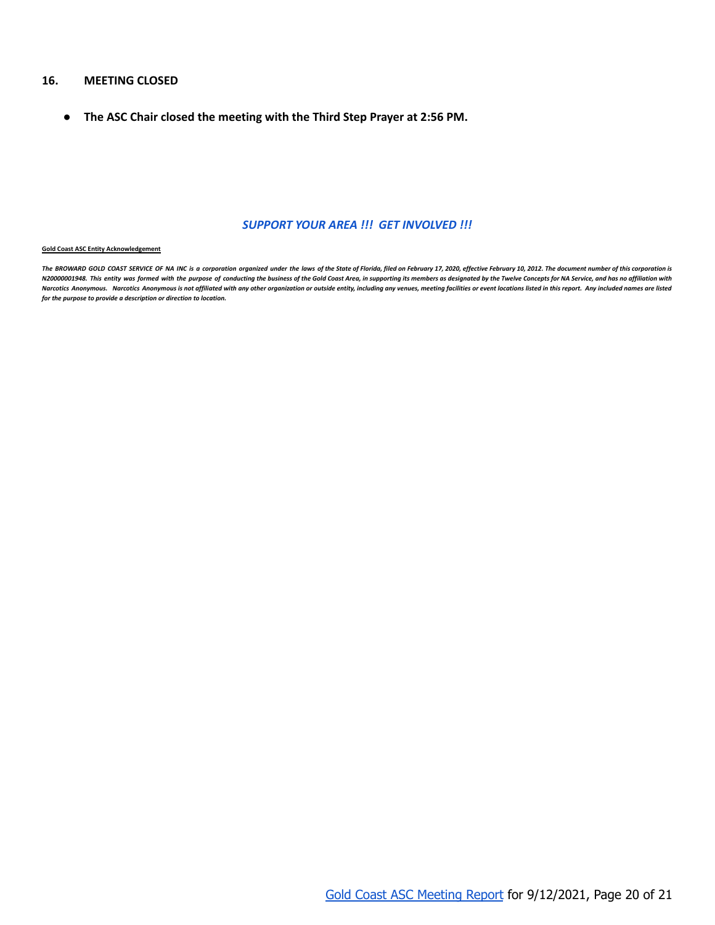#### <span id="page-19-0"></span>**16. MEETING CLOSED**

<span id="page-19-1"></span>**● The ASC Chair closed the meeting with the Third Step Prayer at 2:56 PM.**

#### *SUPPORT YOUR AREA !!! GET INVOLVED !!!*

#### **Gold Coast ASC Entity Acknowledgement**

The BROWARD GOLD COAST SERVICE OF NA INC is a corporation organized under the laws of the State of Florida, filed on February 17, 2020, effective February 10, 2012. The document number of this corporation is N20000001948. This entity was formed with the purpose of conducting the business of the Gold Coast Area, in supporting its members as designated by the Twelve Concepts for NA Service, and has no affiliation with Narcotics Anonymous. Narcotics Anonymous is not affiliated with any other organization or outside entity, including any venues, meeting facilities or event locations listed in this report. Any included names are listed *for the purpose to provide a description or direction to location.*